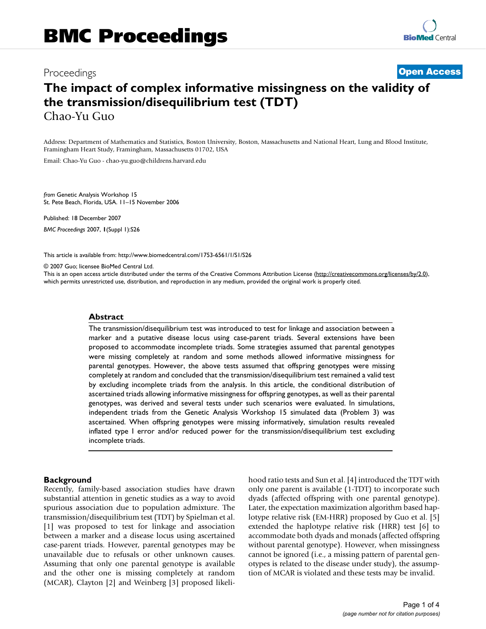# Proceedings **[Open Access](http://www.biomedcentral.com/info/about/charter/) The impact of complex informative missingness on the validity of the transmission/disequilibrium test (TDT)** Chao-Yu Guo

Address: Department of Mathematics and Statistics, Boston University, Boston, Massachusetts and National Heart, Lung and Blood Institute, Framingham Heart Study, Framingham, Massachusetts 01702, USA

Email: Chao-Yu Guo - chao-yu.guo@childrens.harvard.edu

*from* Genetic Analysis Workshop 15 St. Pete Beach, Florida, USA. 11–15 November 2006

Published: 18 December 2007

*BMC Proceedings* 2007, **1**(Suppl 1):S26

[This article is available from: http://www.biomedcentral.com/1753-6561/1/S1/S26](http://www.biomedcentral.com/1753-6561/1/S1/S26)

© 2007 Guo; licensee BioMed Central Ltd.

This is an open access article distributed under the terms of the Creative Commons Attribution License [\(http://creativecommons.org/licenses/by/2.0\)](http://creativecommons.org/licenses/by/2.0), which permits unrestricted use, distribution, and reproduction in any medium, provided the original work is properly cited.

#### **Abstract**

The transmission/disequilibrium test was introduced to test for linkage and association between a marker and a putative disease locus using case-parent triads. Several extensions have been proposed to accommodate incomplete triads. Some strategies assumed that parental genotypes were missing completely at random and some methods allowed informative missingness for parental genotypes. However, the above tests assumed that offspring genotypes were missing completely at random and concluded that the transmission/disequilibrium test remained a valid test by excluding incomplete triads from the analysis. In this article, the conditional distribution of ascertained triads allowing informative missingness for offspring genotypes, as well as their parental genotypes, was derived and several tests under such scenarios were evaluated. In simulations, independent triads from the Genetic Analysis Workshop 15 simulated data (Problem 3) was ascertained. When offspring genotypes were missing informatively, simulation results revealed inflated type I error and/or reduced power for the transmission/disequilibrium test excluding incomplete triads.

### **Background**

Recently, family-based association studies have drawn substantial attention in genetic studies as a way to avoid spurious association due to population admixture. The transmission/disequilibrium test (TDT) by Spielman et al. [1] was proposed to test for linkage and association between a marker and a disease locus using ascertained case-parent triads. However, parental genotypes may be unavailable due to refusals or other unknown causes. Assuming that only one parental genotype is available and the other one is missing completely at random (MCAR), Clayton [2] and Weinberg [3] proposed likelihood ratio tests and Sun et al. [4] introduced the TDT with only one parent is available (1-TDT) to incorporate such dyads (affected offspring with one parental genotype). Later, the expectation maximization algorithm based haplotype relative risk (EM-HRR) proposed by Guo et al. [5] extended the haplotype relative risk (HRR) test [6] to accommodate both dyads and monads (affected offspring without parental genotype). However, when missingness cannot be ignored (i.e., a missing pattern of parental genotypes is related to the disease under study), the assumption of MCAR is violated and these tests may be invalid.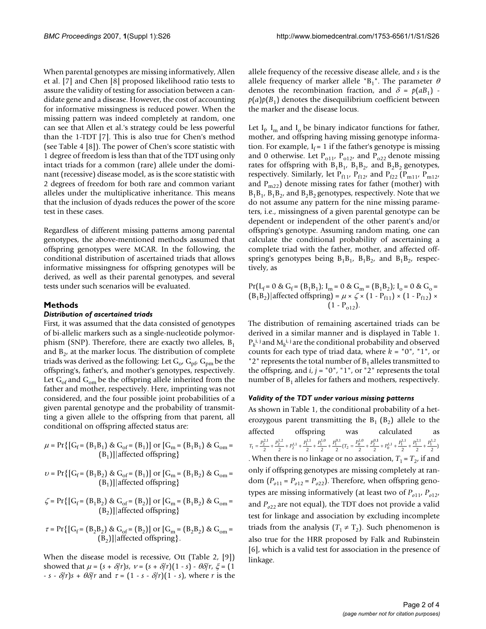When parental genotypes are missing informatively, Allen et al. [7] and Chen [8] proposed likelihood ratio tests to assure the validity of testing for association between a candidate gene and a disease. However, the cost of accounting for informative missingness is reduced power. When the missing pattern was indeed completely at random, one can see that Allen et al.'s strategy could be less powerful than the 1-TDT [7]. This is also true for Chen's method (see Table 4 [8]). The power of Chen's score statistic with 1 degree of freedom is less than that of the TDT using only intact triads for a common (rare) allele under the dominant (recessive) disease model, as is the score statistic with 2 degrees of freedom for both rare and common variant alleles under the multiplicative inheritance. This means that the inclusion of dyads reduces the power of the score test in these cases.

Regardless of different missing patterns among parental genotypes, the above-mentioned methods assumed that offspring genotypes were MCAR. In the following, the conditional distribution of ascertained triads that allows informative missingness for offspring genotypes will be derived, as well as their parental genotypes, and several tests under such scenarios will be evaluated.

# **Methods**

# *Distribution of ascertained triads*

First, it was assumed that the data consisted of genotypes of bi-allelic markers such as a single-nucleotide polymorphism (SNP). Therefore, there are exactly two alleles,  $B_1$ and  $B<sub>2</sub>$ , at the marker locus. The distribution of complete triads was derived as the following: Let  $G_{\alpha}$ ,  $G_{\text{pft}}$ ,  $G_{\text{pmt}}$  be the offspring's, father's, and mother's genotypes, respectively. Let  $G_{\text{of}}$  and  $G_{\text{om}}$  be the offspring allele inherited from the father and mother, respectively. Here, imprinting was not considered, and the four possible joint probabilities of a given parental genotype and the probability of transmitting a given allele to the offspring from that parent, all conditional on offspring affected status are:

$$
\mu = \Pr\left\{ \left[ G_f = \left( B_1 B_1 \right) \& G_{of} = \left( B_1 \right) \right] \text{ or } \left[ G_m = \left( B_1 B_1 \right) \& G_{om} = \left( B_1 \right) \right] \right\}
$$
\n
$$
(B_1) \parallel \text{affected offspring}
$$

$$
\upsilon = \Pr\{[G_f = (B_1B_2) \& G_{of} = (B_1)] \text{ or } [G_m = (B_1B_2) \& G_{om} =
$$
  
(B<sub>1</sub>)]|affected offspring\}

$$
\zeta = \Pr\{[G_f = (B_1 B_2) \& G_{of} = (B_2)] \text{ or } [G_m = (B_1 B_2) \& G_{om} = (B_2)] | \text{affected offspring}\}
$$

 $\tau = \Pr\{[G_f = (B_2B_2) \& G_{of} = (B_2)] \text{ or } [G_m = (B_2B_2) \& G_{om} =$  $(B<sub>2</sub>)$ ]|affected offspring }.

When the disease model is recessive, Ott (Table 2, [9]) showed that  $\mu = (s + \delta/r)s$ ,  $v = (s + \delta/r)(1 - s) - \theta \delta/r$ ,  $\xi = (1$ -  $s - \delta/r$ ) $s + \theta \delta/r$  and  $\tau = (1 - s - \delta/r)(1 - s)$ , where *r* is the allele frequency of the recessive disease allele, and *s* is the allele frequency of marker allele "B<sub>1</sub>". The parameter  $\theta$ denotes the recombination fraction, and  $\delta = p(aB_1)$ .  $p(a)p(B_1)$  denotes the disequilibrium coefficient between the marker and the disease locus.

Let  $I_f$ ,  $I_m$  and  $I_o$  be binary indicator functions for father, mother, and offspring having missing genotype information. For example,  $I_f = 1$  if the father's genotype is missing and 0 otherwise. Let  $P_{011}$ ,  $P_{012}$ , and  $P_{022}$  denote missing rates for offspring with  $B_1B_1$ ,  $B_1B_2$ , and  $B_2B_2$  genotypes, respectively. Similarly, let  $P_{f11}$ ,  $P_{f12}$ , and  $P_{f22}$  ( $P_{m11}$ ,  $P_{m12}$ , and  $P_{m22}$ ) denote missing rates for father (mother) with  $B_1B_1$ ,  $B_1B_2$ , and  $B_2B_2$  genotypes, respectively. Note that we do not assume any pattern for the nine missing parameters, i.e., missingness of a given parental genotype can be dependent or independent of the other parent's and/or offspring's genotype. Assuming random mating, one can calculate the conditional probability of ascertaining a complete triad with the father, mother, and affected offspring's genotypes being  $B_1B_1$ ,  $B_1B_2$ , and  $B_1B_2$ , respectively, as

 $Pr(L_f = 0 & G_f = (B_1B_1); I_m = 0 & G_m = (B_1B_2); I_o = 0 & G_o =$  $(B_1B_2)|$ affected offspring) =  $\mu \times \zeta \times (1 - P_{f11}) \times (1 - P_{f12}) \times$  $(1 - P_{012})$ .

The distribution of remaining ascertained triads can be derived in a similar manner and is displayed in Table 1.  $P_k$ <sup>i, j</sup> and  $M_k$ <sup>i, j</sup> are the conditional probability and observed counts for each type of triad data, where *k* = "0", "1", or "2" represents the total number of  $B_1$  alleles transmitted to the offspring, and  $i, j = "0", "1",$  or "2" represents the total number of  $B_1$  alleles for fathers and mothers, respectively.

# *Validity of the TDT under various missing patterns*

As shown in Table 1, the conditional probability of a heterozygous parent transmitting the  $B_1$  ( $B_2$ ) allele to the affected offspring was calculated as . When there is no linkage or no association,  $T_1 = T_2$ , if and only if offspring genotypes are missing completely at random  $(P_{o11} = P_{o12} = P_{o22})$ . Therefore, when offspring genotypes are missing informatively (at least two of  $P_{o11}$ ,  $P_{o12}$ , and  $P_{o22}$  are not equal), the TDT does not provide a valid test for linkage and association by excluding incomplete triads from the analysis  $(T_1 \neq T_2)$ . Such phenomenon is also true for the HRR proposed by Falk and Rubinstein [6], which is a valid test for association in the presence of linkage.  $T_1 = \frac{P_2^{2,1}}{2} + \frac{P_2^{1,2}}{2} + P_2^{1,1} + \frac{P_1^{1,1}}{2} + \frac{P_1^{1,0}}{2} + \frac{P_1^{0,1}}{2}(T_2 = \frac{P_0^{1,0}}{2} + \frac{P_1^{1,0}}{2})$  $=\frac{P_2^{2,1}}{2} + \frac{P_2^{1,2}}{2} + P_2^{1,1} + \frac{P_1^{1,1}}{2} + \frac{P_1^{1,0}}{2} + \frac{P_1^{0,1}}{2}(T_2 = \frac{P_0^{1,0}}{2} + \frac{P_2^{0,1}}{2})$  $\frac{10^{10}}{2}$  +  $P_0^{1,1}$  +  $\frac{P_1^{1,1}}{2}$  +  $\frac{P_1^{2,1}}{2}$  +  $\frac{P_1^{1,2}}{2}$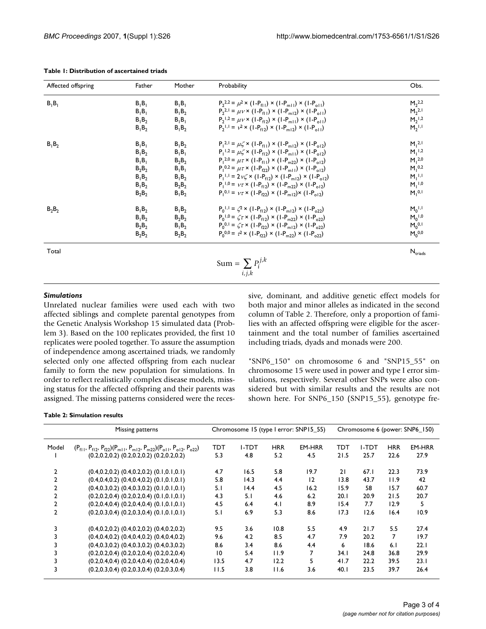| Affected offspring | Father   | Mother   | Probability                                                                             | Obs.                 |
|--------------------|----------|----------|-----------------------------------------------------------------------------------------|----------------------|
| $B_1B_1$           | $B_1B_1$ | $B_1B_1$ | $P_2^{2,2} = \mu^2 \times (1-P_{f(1)}) \times (1-P_{m(1)}) \times (1-P_{o(1)})$         | $M_2^{2,2}$          |
|                    | $B_1B_1$ | $B_1B_2$ | $P_2^{2,1} = \mu v \times (1-P_{f(1)}) \times (1-P_{m(2)}) \times (1-P_{c(1)})$         | $M_2^{2,1}$          |
|                    | $B_1B_2$ | $B_1B_1$ | $P_2$ <sup>1,2</sup> = $\mu$ v × (1- $P_{f(2)}$ ) × (1- $P_{m(1)}$ ) × (1- $P_{c(1)}$ ) | $M_2$ <sup>1,2</sup> |
|                    | $B_1B_2$ | $B_1B_2$ | $P_2$ <sup>1,1</sup> = $v^2$ × (1- $P_{f12}$ ) × (1- $P_{m12}$ ) × (1- $P_{o11}$ )      | $M_2$ <sup>1,1</sup> |
| $B_1B_2$           | $B_1B_1$ | $B_1B_2$ | $P_1^{2,1} = \mu \zeta \times (1-P_{f(1)}) \times (1-P_{m(2)}) \times (1-P_{o(2)})$     | $M_1^{2,1}$          |
|                    | $B_1B_2$ | $B_1B_1$ | $P_1^{1,2} = \mu \zeta \times (1-P_{f(2)}) \times (1-P_{m(1)}) \times (1-P_{g(2)})$     | $M_1^{1,2}$          |
|                    | $B_1B_1$ | $B_2B_2$ | $P_1^{2,0} = \mu \tau \times (1-P_{f(1)}) \times (1-P_{m22}) \times (1-P_{q12})$        | $M1$ <sub>2,0</sub>  |
|                    | $B_2B_2$ | $B_1B_1$ | $P_1^{0,2} = \mu \tau \times (1-P_{02}) \times (1-P_{m+1}) \times (1-P_{012})$          | $M_1^{0,2}$          |
|                    | $B_1B_2$ | $B_1B_2$ | $P_1^{1,1} = 2 \sqrt{x} \times (1-P_{f12}) \times (1-P_{m12}) \times (1-P_{o12})$       | $M_1^{1,1}$          |
|                    | $B_1B_2$ | $B_2B_2$ | $P_1^{1,0} = \nu \tau \times (1-P_{f12}) \times (1-P_{m22}) \times (1-P_{012})$         | $M_1^{1,0}$          |
|                    | $B_2B_2$ | $B_1B_2$ | $P_1^{0,1} = \nu \tau \times (1-P_{f22}) \times (1-P_{m12}) \times (1-P_{o12})$         | $M_1^{0,1}$          |
| $B_2B_2$           | $B_1B_2$ | $B_1B_2$ | $P_0$ <sup>1,1</sup> = $\zeta^2$ × (1- $P_{f12}$ ) × (1- $P_{m12}$ ) × (1- $P_{o22}$ )  | $M_0^{1,1}$          |
|                    | $B_1B_2$ | $B_2B_2$ | $P_0^{1,0} = \zeta \tau \times (1-P_{f12}) \times (1-P_{m22}) \times (1-P_{c22})$       | $M_0^{1,0}$          |
|                    | $B_2B_2$ | $B_1B_2$ | $P_0^{0,1} = \zeta \tau \times (1-P_{f22}) \times (1-P_{m12}) \times (1-P_{o22})$       | $M_0^{0,1}$          |
|                    | $B_2B_2$ | $B_2B_2$ | $P_0^{0,0} = \tau^2 \times (1-P_{\tau 2}) \times (1-P_{\tau 2}) \times (1-P_{\tau 2})$  | $M_0^{0,0}$          |
| Total              |          |          |                                                                                         | $N_{\text{trials}}$  |
|                    |          |          | Sum = $\sum P_i^{j,k}$                                                                  |                      |
|                    |          |          | i, j, k                                                                                 |                      |

#### **Table 1: Distribution of ascertained triads**

# *Simulations*

Unrelated nuclear families were used each with two affected siblings and complete parental genotypes from the Genetic Analysis Workshop 15 simulated data (Problem 3). Based on the 100 replicates provided, the first 10 replicates were pooled together. To assure the assumption of independence among ascertained triads, we randomly selected only one affected offspring from each nuclear family to form the new population for simulations. In order to reflect realistically complex disease models, missing status for the affected offspring and their parents was assigned. The missing patterns considered were the recessive, dominant, and additive genetic effect models for both major and minor alleles as indicated in the second column of Table 2. Therefore, only a proportion of families with an affected offspring were eligible for the ascertainment and the total number of families ascertained including triads, dyads and monads were 200.

"SNP6\_150" on chromosome 6 and "SNP15\_55" on chromosome 15 were used in power and type I error simulations, respectively. Several other SNPs were also considered but with similar results and the results are not shown here. For SNP6\_150 (SNP15\_55), genotype fre-

|  |  |  |  | <b>Table 2: Simulation results</b> |
|--|--|--|--|------------------------------------|
|--|--|--|--|------------------------------------|

|                | Missing patterns                                                                    | Chromosome 15 (type I error: SNP15_55) |       |            | Chromosome 6 (power: SNP6_150) |      |       |            |        |
|----------------|-------------------------------------------------------------------------------------|----------------------------------------|-------|------------|--------------------------------|------|-------|------------|--------|
| Model          | $(P_{f11}, P_{f12}, P_{f22})(P_{m11}, P_{m12}, P_{m22})(P_{o11}, P_{o12}, P_{o22})$ | TDT                                    | I-TDT | <b>HRR</b> | EM-HRR                         | TDT  | I-TDT | <b>HRR</b> | EM-HRR |
|                | $(0.2, 0.2, 0.2)$ $(0.2, 0.2, 0.2)$ $(0.2, 0.2, 0.2)$                               | 5.3                                    | 4.8   | 5.2        | 4.5                            | 21.5 | 25.7  | 22.6       | 27.9   |
| 2              | $(0.4, 0.2, 0.2)$ $(0.4, 0.2, 0.2)$ $(0.1, 0.1, 0.1)$                               | 4.7                                    | 16.5  | 5.8        | 19.7                           | 21   | 67.1  | 22.3       | 73.9   |
| 2              | $(0.4, 0.4, 0.2)$ $(0.4, 0.4, 0.2)$ $(0.1, 0.1, 0.1)$                               | 5.8                                    | 14.3  | 4.4        | 12                             | 13.8 | 43.7  | 11.9       | 42     |
| $\overline{2}$ | $(0.4, 0.3, 0.2)$ $(0.4, 0.3, 0.2)$ $(0.1, 0.1, 0.1)$                               | 5.1                                    | 14.4  | 4.5        | 16.2                           | 15.9 | 58    | 15.7       | 60.7   |
| $\overline{2}$ | $(0.2, 0.2, 0.4)$ $(0.2, 0.2, 0.4)$ $(0.1, 0.1, 0.1)$                               | 4.3                                    | 5.1   | 4.6        | 6.2                            | 20.1 | 20.9  | 21.5       | 20.7   |
| 2              | $(0.2, 0.4, 0.4)$ $(0.2, 0.4, 0.4)$ $(0.1, 0.1, 0.1)$                               | 4.5                                    | 6.4   | 4.1        | 8.9                            | 15.4 | 7.7   | 12.9       | 5      |
| $\overline{2}$ | $(0.2, 0.3, 0.4)$ $(0.2, 0.3, 0.4)$ $(0.1, 0.1, 0.1)$                               | 5.1                                    | 6.9   | 5.3        | 8.6                            | 17.3 | 12.6  | 16.4       | 10.9   |
| 3              | $(0.4, 0.2, 0.2)$ $(0.4, 0.2, 0.2)$ $(0.4, 0.2, 0.2)$                               | 9.5                                    | 3.6   | 10.8       | 5.5                            | 4.9  | 21.7  | 5.5        | 27.4   |
| 3              | $(0.4, 0.4, 0.2)$ $(0.4, 0.4, 0.2)$ $(0.4, 0.4, 0.2)$                               | 9.6                                    | 4.2   | 8.5        | 4.7                            | 7.9  | 20.2  | 7          | 19.7   |
| 3              | $(0.4, 0.3, 0.2)$ $(0.4, 0.3, 0.2)$ $(0.4, 0.3, 0.2)$                               | 8.6                                    | 3.4   | 8.6        | 4.4                            | 6    | 18.6  | 6.1        | 22.1   |
| 3              | $(0.2, 0.2, 0.4)$ $(0.2, 0.2, 0.4)$ $(0.2, 0.2, 0.4)$                               | $\overline{10}$                        | 5.4   | 11.9       | 7                              | 34.1 | 24.8  | 36.8       | 29.9   |
| 3              | $(0.2, 0.4, 0.4)$ $(0.2, 0.4, 0.4)$ $(0.2, 0.4, 0.4)$                               | 13.5                                   | 4.7   | 12.2       | 5                              | 41.7 | 22.2  | 39.5       | 23.1   |
| 3              | $(0.2, 0.3, 0.4)$ $(0.2, 0.3, 0.4)$ $(0.2, 0.3, 0.4)$                               | 11.5                                   | 3.8   | 11.6       | 3.6                            | 40.1 | 23.5  | 39.7       | 26.4   |